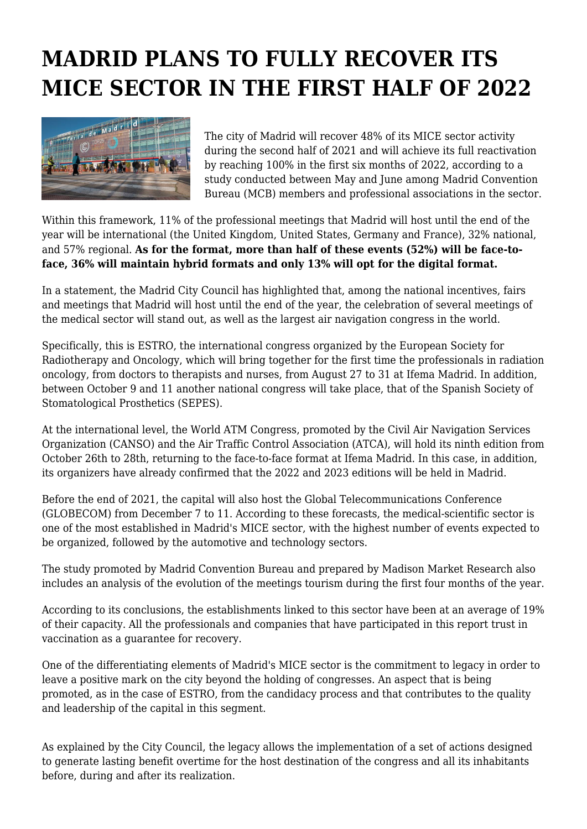## **MADRID PLANS TO FULLY RECOVER ITS MICE SECTOR IN THE FIRST HALF OF 2022**



The city of Madrid will recover 48% of its MICE sector activity during the second half of 2021 and will achieve its full reactivation by reaching 100% in the first six months of 2022, according to a study conducted between May and June among Madrid Convention Bureau (MCB) members and professional associations in the sector.

Within this framework, 11% of the professional meetings that Madrid will host until the end of the year will be international (the United Kingdom, United States, Germany and France), 32% national, and 57% regional. **As for the format, more than half of these events (52%) will be face-toface, 36% will maintain hybrid formats and only 13% will opt for the digital format.**

In a statement, the Madrid City Council has highlighted that, among the national incentives, fairs and meetings that Madrid will host until the end of the year, the celebration of several meetings of the medical sector will stand out, as well as the largest air navigation congress in the world.

Specifically, this is ESTRO, the international congress organized by the European Society for Radiotherapy and Oncology, which will bring together for the first time the professionals in radiation oncology, from doctors to therapists and nurses, from August 27 to 31 at Ifema Madrid. In addition, between October 9 and 11 another national congress will take place, that of the Spanish Society of Stomatological Prosthetics (SEPES).

At the international level, the World ATM Congress, promoted by the Civil Air Navigation Services Organization (CANSO) and the Air Traffic Control Association (ATCA), will hold its ninth edition from October 26th to 28th, returning to the face-to-face format at Ifema Madrid. In this case, in addition, its organizers have already confirmed that the 2022 and 2023 editions will be held in Madrid.

Before the end of 2021, the capital will also host the Global Telecommunications Conference (GLOBECOM) from December 7 to 11. According to these forecasts, the medical-scientific sector is one of the most established in Madrid's MICE sector, with the highest number of events expected to be organized, followed by the automotive and technology sectors.

The study promoted by Madrid Convention Bureau and prepared by Madison Market Research also includes an analysis of the evolution of the meetings tourism during the first four months of the year.

According to its conclusions, the establishments linked to this sector have been at an average of 19% of their capacity. All the professionals and companies that have participated in this report trust in vaccination as a guarantee for recovery.

One of the differentiating elements of Madrid's MICE sector is the commitment to legacy in order to leave a positive mark on the city beyond the holding of congresses. An aspect that is being promoted, as in the case of ESTRO, from the candidacy process and that contributes to the quality and leadership of the capital in this segment.

As explained by the City Council, the legacy allows the implementation of a set of actions designed to generate lasting benefit overtime for the host destination of the congress and all its inhabitants before, during and after its realization.